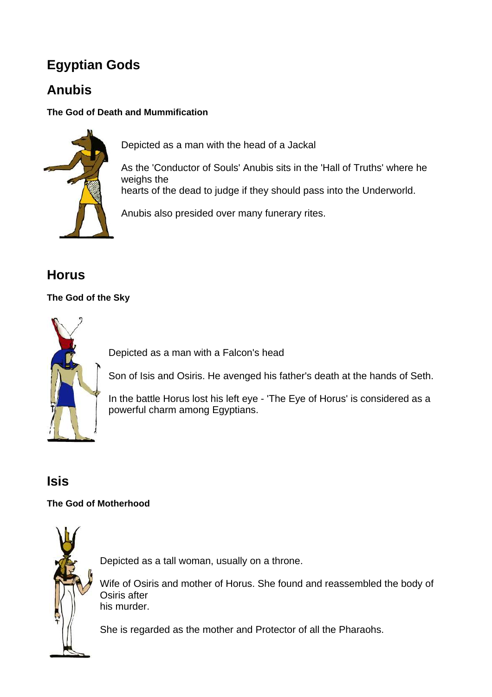# **Egyptian Gods**

## **Anubis**

### **The God of Death and Mummification**



Depicted as a man with the head of a Jackal

As the 'Conductor of Souls' Anubis sits in the 'Hall of Truths' where he weighs the

hearts of the dead to judge if they should pass into the Underworld.

Anubis also presided over many funerary rites.

### **Horus**

### **The God of the Sky**



Depicted as a man with a Falcon's head

Son of Isis and Osiris. He avenged his father's death at the hands of Seth.

In the battle Horus lost his left eye - 'The Eye of Horus' is considered as a powerful charm among Egyptians.

### **Isis**

### **The God of Motherhood**



Depicted as a tall woman, usually on a throne.

Wife of Osiris and mother of Horus. She found and reassembled the body of Osiris after his murder.

She is regarded as the mother and Protector of all the Pharaohs.